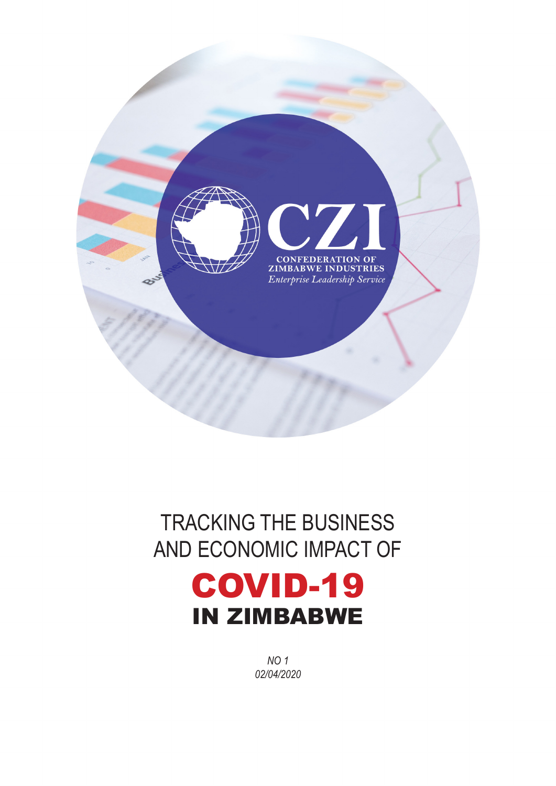

# TRACKING THE BUSINESS AND ECONOMIC IMPACT OF COVID-19 IN ZIMBABWE

*NO 1 02/04/2020*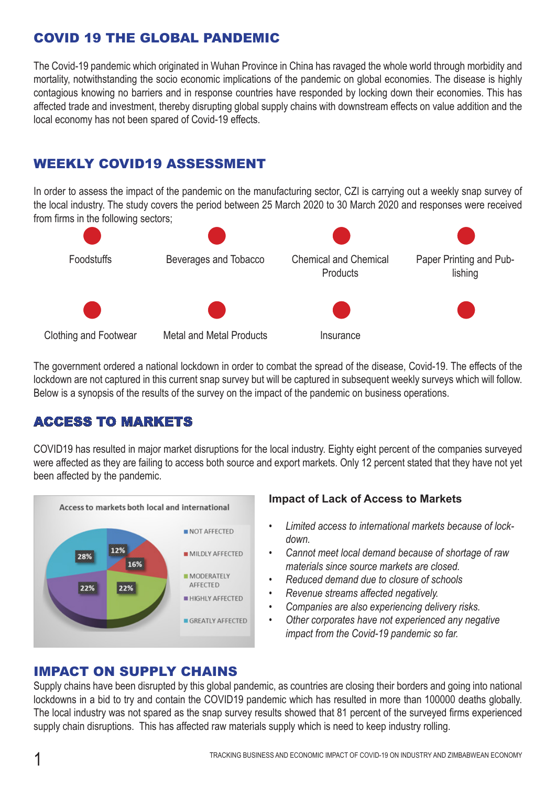## COVID 19 THE GLOBAL PANDEMIC

The Covid-19 pandemic which originated in Wuhan Province in China has ravaged the whole world through morbidity and mortality, notwithstanding the socio economic implications of the pandemic on global economies. The disease is highly contagious knowing no barriers and in response countries have responded by locking down their economies. This has affected trade and investment, thereby disrupting global supply chains with downstream effects on value addition and the local economy has not been spared of Covid-19 effects.

## WEEKLY COVID19 ASSESSMENT

In order to assess the impact of the pandemic on the manufacturing sector, CZI is carrying out a weekly snap survey of the local industry. The study covers the period between 25 March 2020 to 30 March 2020 and responses were received from firms in the following sectors;



The government ordered a national lockdown in order to combat the spread of the disease, Covid-19. The effects of the lockdown are not captured in this current snap survey but will be captured in subsequent weekly surveys which will follow. Below is a synopsis of the results of the survey on the impact of the pandemic on business operations.

#### ACCESS TO MARKETS

COVID19 has resulted in major market disruptions for the local industry. Eighty eight percent of the companies surveyed were affected as they are failing to access both source and export markets. Only 12 percent stated that they have not yet been affected by the pandemic.



#### **Impact of Lack of Access to Markets**

- *• Limited access to international markets because of lockdown.*
- *• Cannot meet local demand because of shortage of raw materials since source markets are closed.*
- *• Reduced demand due to closure of schools*
- *• Revenue streams affected negatively.*
- *• Companies are also experiencing delivery risks.*
- *• Other corporates have not experienced any negative impact from the Covid-19 pandemic so far.*

#### IMPACT ON SUPPLY CHAINS

Supply chains have been disrupted by this global pandemic, as countries are closing their borders and going into national lockdowns in a bid to try and contain the COVID19 pandemic which has resulted in more than 100000 deaths globally. The local industry was not spared as the snap survey results showed that 81 percent of the surveyed firms experienced supply chain disruptions. This has affected raw materials supply which is need to keep industry rolling.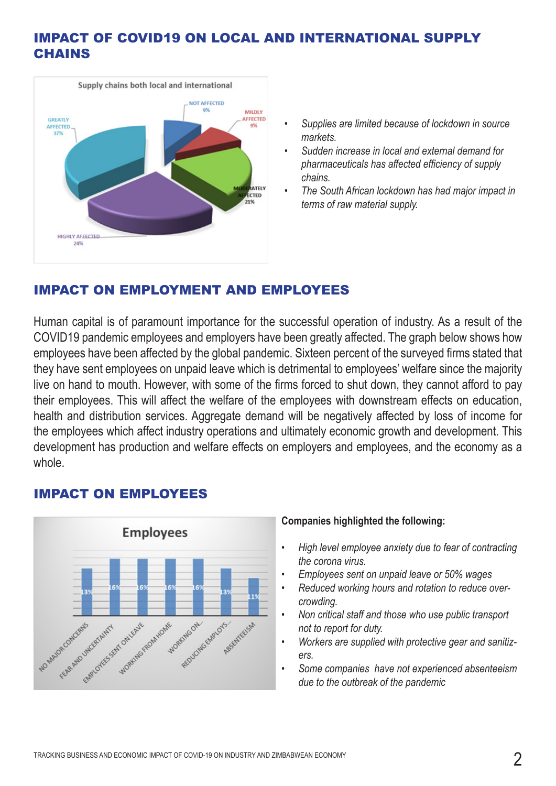## IMPACT OF COVID19 ON LOCAL AND INTERNATIONAL SUPPLY **CHAINS**



- *• Supplies are limited because of lockdown in source markets.*
- *• Sudden increase in local and external demand for pharmaceuticals has affected efficiency of supply chains.*
- *• The South African lockdown has had major impact in terms of raw material supply.*

## IMPACT ON EMPLOYMENT AND EMPLOYEES

Human capital is of paramount importance for the successful operation of industry. As a result of the COVID19 pandemic employees and employers have been greatly affected. The graph below shows how employees have been affected by the global pandemic. Sixteen percent of the surveyed firms stated that they have sent employees on unpaid leave which is detrimental to employees' welfare since the majority live on hand to mouth. However, with some of the firms forced to shut down, they cannot afford to pay their employees. This will affect the welfare of the employees with downstream effects on education, health and distribution services. Aggregate demand will be negatively affected by loss of income for the employees which affect industry operations and ultimately economic growth and development. This development has production and welfare effects on employers and employees, and the economy as a whole.

#### IMPACT ON EMPLOYEES



#### **Companies highlighted the following:**

- *• High level employee anxiety due to fear of contracting the corona virus.*
- *• Employees sent on unpaid leave or 50% wages*
- *• Reduced working hours and rotation to reduce overcrowding.*
- *• Non critical staff and those who use public transport not to report for duty.*
- *• Workers are supplied with protective gear and sanitizers.*
- *• Some companies have not experienced absenteeism due to the outbreak of the pandemic*